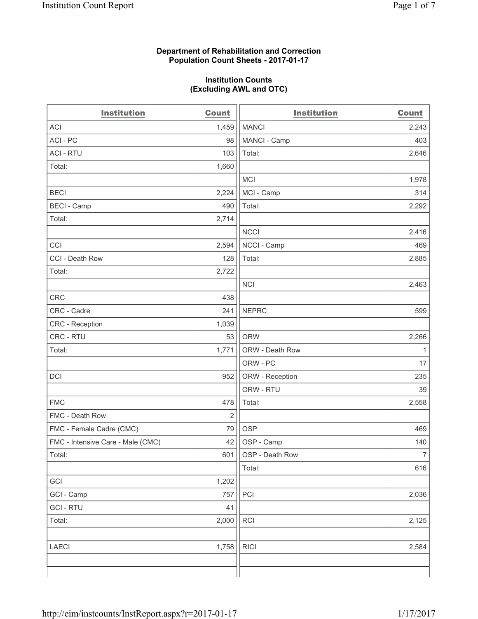#### **Department of Rehabilitation and Correction Population Count Sheets - 2017-01-17**

#### **Institution Counts (Excluding AWL and OTC)**

| <b>Institution</b>                | <b>Count</b>   | <b>Institution</b> | <b>Count</b>   |
|-----------------------------------|----------------|--------------------|----------------|
| <b>ACI</b>                        | 1,459          | <b>MANCI</b>       | 2,243          |
| ACI-PC                            | 98             | MANCI - Camp       | 403            |
| <b>ACI - RTU</b>                  | 103            | Total:             | 2,646          |
| Total:                            | 1,660          |                    |                |
|                                   |                | <b>MCI</b>         | 1,978          |
| <b>BECI</b>                       | 2,224          | MCI - Camp         | 314            |
| <b>BECI</b> - Camp                | 490            | Total:             | 2,292          |
| Total:                            | 2,714          |                    |                |
|                                   |                | <b>NCCI</b>        | 2,416          |
| CCI                               | 2,594          | NCCI - Camp        | 469            |
| CCI - Death Row                   | 128            | Total:             | 2,885          |
| Total:                            | 2,722          |                    |                |
|                                   |                | <b>NCI</b>         | 2,463          |
| <b>CRC</b>                        | 438            |                    |                |
| CRC - Cadre                       | 241            | <b>NEPRC</b>       | 599            |
| CRC - Reception                   | 1,039          |                    |                |
| CRC - RTU                         | 53             | <b>ORW</b>         | 2,266          |
| Total:                            | 1,771          | ORW - Death Row    | $\mathbf{1}$   |
|                                   |                | ORW - PC           | 17             |
| DCI                               | 952            | ORW - Reception    | 235            |
|                                   |                | ORW - RTU          | 39             |
| <b>FMC</b>                        | 478            | Total:             | 2,558          |
| FMC - Death Row                   | $\overline{2}$ |                    |                |
| FMC - Female Cadre (CMC)          | 79             | <b>OSP</b>         | 469            |
| FMC - Intensive Care - Male (CMC) | 42             | OSP - Camp         | 140            |
| Total:                            | 601            | OSP - Death Row    | $\overline{7}$ |
|                                   |                | Total:             | 616            |
| GCI                               | 1,202          |                    |                |
| GCI - Camp                        | 757            | PCI                | 2,036          |
| <b>GCI - RTU</b>                  | 41             |                    |                |
| Total:                            | 2,000          | RCI                | 2,125          |
|                                   |                |                    |                |
| <b>LAECI</b>                      | 1,758          | <b>RICI</b>        | 2,584          |
|                                   |                |                    |                |
|                                   |                |                    |                |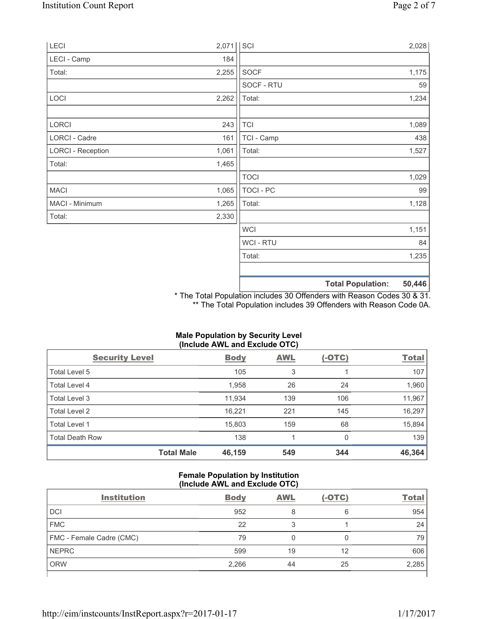| LECI                     | 2,071 | SCI              |                          | 2,028  |
|--------------------------|-------|------------------|--------------------------|--------|
| LECI - Camp              | 184   |                  |                          |        |
| Total:                   | 2,255 | SOCF             |                          | 1,175  |
|                          |       | SOCF - RTU       |                          | 59     |
| LOCI                     | 2,262 | Total:           |                          | 1,234  |
|                          |       |                  |                          |        |
| <b>LORCI</b>             | 243   | $\mathsf{TCI}$   |                          | 1,089  |
| LORCI - Cadre            | 161   | TCI - Camp       |                          | 438    |
| <b>LORCI - Reception</b> | 1,061 | Total:           |                          | 1,527  |
| Total:                   | 1,465 |                  |                          |        |
|                          |       | <b>TOCI</b>      |                          | 1,029  |
| <b>MACI</b>              | 1,065 | <b>TOCI - PC</b> |                          | 99     |
| MACI - Minimum           | 1,265 | Total:           |                          | 1,128  |
| Total:                   | 2,330 |                  |                          |        |
|                          |       | <b>WCI</b>       |                          | 1,151  |
|                          |       | WCI - RTU        |                          | 84     |
|                          |       | Total:           |                          | 1,235  |
|                          |       |                  |                          |        |
|                          |       |                  | <b>Total Population:</b> | 50,446 |

\* The Total Population includes 30 Offenders with Reason Codes 30 & 31. \*\* The Total Population includes 39 Offenders with Reason Code 0A.

| (Include AWL and Exclude OTC) |            |             |            |               |              |
|-------------------------------|------------|-------------|------------|---------------|--------------|
| <b>Security Level</b>         |            | <b>Body</b> | <b>AWL</b> | <u>(-OTC)</u> | <b>Total</b> |
| Total Level 5                 |            | 105         | 3          |               | 107          |
| <b>Total Level 4</b>          |            | 1,958       | 26         | 24            | 1,960        |
| <b>Total Level 3</b>          |            | 11,934      | 139        | 106           | 11,967       |
| Total Level 2                 |            | 16,221      | 221        | 145           | 16,297       |
| Total Level 1                 |            | 15,803      | 159        | 68            | 15,894       |
| <b>Total Death Row</b>        |            | 138         | 1          | 0             | 139          |
|                               | Total Male | 46,159      | 549        | 344           | 46,364       |

# **Male Population by Security Level (Include AWL and Exclude OTC)**

# **Female Population by Institution (Include AWL and Exclude OTC)**

| <b>Institution</b>       | <b>Body</b> | <b>AWL</b> | $(-OTC)$ | <b>Total</b> |
|--------------------------|-------------|------------|----------|--------------|
| <b>DCI</b>               | 952         | 8          | 6        | 954          |
| <b>FMC</b>               | 22          |            |          | 24           |
| FMC - Female Cadre (CMC) | 79          |            |          | 79           |
| <b>NEPRC</b>             | 599         | 19         | 12       | 606          |
| <b>ORW</b>               | 2,266       | 44         | 25       | 2,285        |
|                          |             |            |          |              |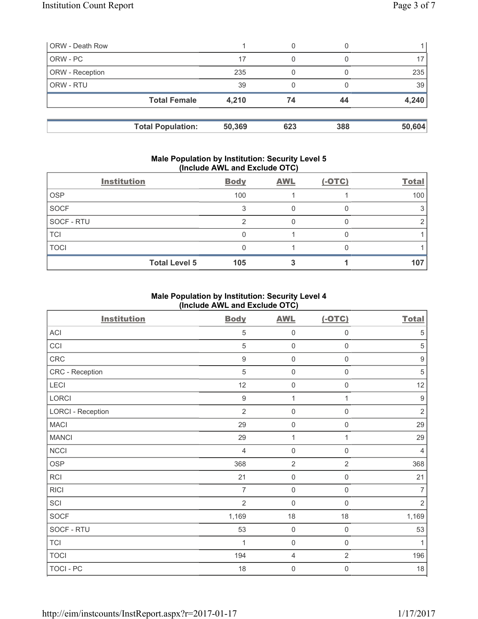| <b>ORW</b> - Death Row |                          |        | 0   |     |        |
|------------------------|--------------------------|--------|-----|-----|--------|
| ORW - PC               |                          | 17     | 0   |     |        |
| ORW - Reception        |                          | 235    |     |     | 235    |
| ORW - RTU              |                          | 39     |     |     | 39     |
|                        | <b>Total Female</b>      | 4,210  | 74  | 44  | 4,240  |
|                        | <b>Total Population:</b> | 50,369 | 623 | 388 | 50,604 |

#### **Male Population by Institution: Security Level 5 (Include AWL and Exclude OTC)**

|             | <b>Institution</b>   | <b>Body</b> | <b>AWL</b> | $(-OTC)$ | <b>Total</b> |
|-------------|----------------------|-------------|------------|----------|--------------|
| <b>OSP</b>  |                      | 100         |            |          | 100          |
| <b>SOCF</b> |                      |             |            |          |              |
| SOCF - RTU  |                      |             |            |          |              |
| <b>TCI</b>  |                      |             |            |          |              |
| <b>TOCI</b> |                      |             |            |          |              |
|             | <b>Total Level 5</b> | 105         |            |          | 107          |

## **Male Population by Institution: Security Level 4 (Include AWL and Exclude OTC)**

| <b>Institution</b>       | <b>Body</b>      | <b>AWL</b>          | $(-OTC)$            | <b>Total</b>     |
|--------------------------|------------------|---------------------|---------------------|------------------|
| ACI                      | 5                | $\mathsf 0$         | 0                   | 5                |
| CCI                      | 5                | $\mathbf 0$         | $\mathsf 0$         | $\sqrt{5}$       |
| CRC                      | $\boldsymbol{9}$ | $\mathsf{O}\xspace$ | 0                   | $\boldsymbol{9}$ |
| CRC - Reception          | 5                | $\mathbf 0$         | 0                   | $\,$ 5 $\,$      |
| LECI                     | 12               | $\mathbf 0$         | 0                   | 12               |
| LORCI                    | $9\,$            | $\mathbf{1}$        | 1                   | $\boldsymbol{9}$ |
| <b>LORCI - Reception</b> | $\overline{2}$   | $\mathbf 0$         | 0                   | $\overline{2}$   |
| <b>MACI</b>              | 29               | $\mathsf{O}\xspace$ | $\mathsf{O}\xspace$ | 29               |
| <b>MANCI</b>             | 29               | 1                   | 1                   | 29               |
| <b>NCCI</b>              | $\overline{4}$   | $\mathbf 0$         | $\mathsf 0$         | $\overline{4}$   |
| <b>OSP</b>               | 368              | $\overline{2}$      | $\overline{2}$      | 368              |
| RCI                      | 21               | $\mathbf 0$         | $\mathsf{O}\xspace$ | 21               |
| <b>RICI</b>              | $\overline{7}$   | $\mathbf 0$         | $\mathbf 0$         | $\overline{7}$   |
| SCI                      | $\overline{2}$   | $\mathbf 0$         | $\mathbf 0$         | $\overline{2}$   |
| <b>SOCF</b>              | 1,169            | 18                  | 18                  | 1,169            |
| SOCF - RTU               | 53               | $\mathsf{O}\xspace$ | $\mathbf 0$         | 53               |
| <b>TCI</b>               | 1                | $\mathbf 0$         | $\mathsf 0$         | $\mathbf{1}$     |
| <b>TOCI</b>              | 194              | $\overline{4}$      | $\overline{2}$      | 196              |
| TOCI - PC                | 18               | 0                   | 0                   | 18               |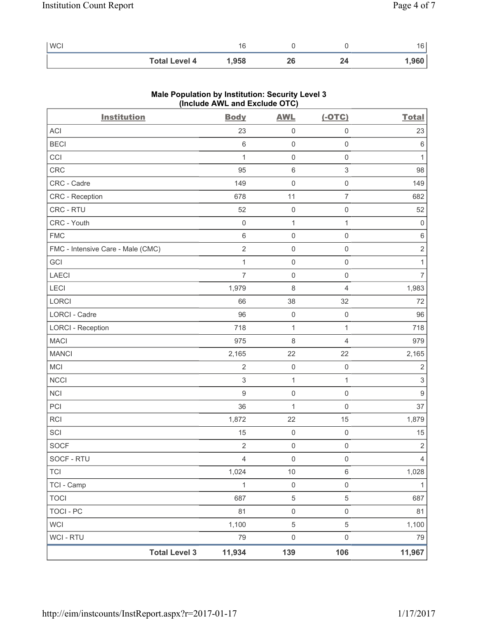| <b>WCI</b> |                      | ، υ  |    |     | $\sim$<br>. U |
|------------|----------------------|------|----|-----|---------------|
|            | <b>Total Level 4</b> | ,958 | ΔQ | - - | .960          |

| <b>Institution</b>                | <b>Body</b>      | <b>AWL</b>          | $(-OTC)$                  | <b>Total</b>              |
|-----------------------------------|------------------|---------------------|---------------------------|---------------------------|
| ACI                               | 23               | $\mathsf 0$         | $\mathsf 0$               | 23                        |
| <b>BECI</b>                       | $\,6\,$          | $\mathsf 0$         | $\mathsf{O}\xspace$       | 6                         |
| CCI                               | $\mathbf 1$      | $\mathsf{O}\xspace$ | $\mathsf 0$               | $\mathbf{1}$              |
| CRC                               | 95               | $\,6$               | $\ensuremath{\mathsf{3}}$ | 98                        |
| CRC - Cadre                       | 149              | $\mathsf{O}\xspace$ | $\mathsf 0$               | 149                       |
| CRC - Reception                   | 678              | 11                  | $\overline{7}$            | 682                       |
| CRC - RTU                         | 52               | $\mathsf{O}\xspace$ | $\mathsf 0$               | 52                        |
| CRC - Youth                       | $\mathbf 0$      | $\mathbf{1}$        | $\mathbf{1}$              | $\mathbf 0$               |
| ${\sf FMC}$                       | $\,6\,$          | $\mathsf{O}\xspace$ | $\mathsf 0$               | $\,6\,$                   |
| FMC - Intensive Care - Male (CMC) | $\overline{2}$   | $\mathsf{O}\xspace$ | $\mathsf 0$               | $\sqrt{2}$                |
| GCI                               | $\mathbf{1}$     | $\mathsf 0$         | $\mathsf 0$               | 1                         |
| <b>LAECI</b>                      | $\overline{7}$   | 0                   | $\mathsf 0$               | $\overline{7}$            |
| <b>LECI</b>                       | 1,979            | 8                   | $\overline{4}$            | 1,983                     |
| LORCI                             | 66               | 38                  | 32                        | 72                        |
| LORCI - Cadre                     | 96               | $\mathsf 0$         | $\mathsf{O}\xspace$       | 96                        |
| <b>LORCI - Reception</b>          | 718              | $\mathbf{1}$        | $\mathbf{1}$              | 718                       |
| <b>MACI</b>                       | 975              | 8                   | $\overline{4}$            | 979                       |
| <b>MANCI</b>                      | 2,165            | 22                  | 22                        | 2,165                     |
| MCI                               | $\sqrt{2}$       | $\mathsf 0$         | $\mathsf{O}\xspace$       | $\sqrt{2}$                |
| <b>NCCI</b>                       | $\mathsf 3$      | $\mathbf{1}$        | $\mathbf{1}$              | $\ensuremath{\mathsf{3}}$ |
| <b>NCI</b>                        | $\boldsymbol{9}$ | 0                   | $\mathsf 0$               | $\boldsymbol{9}$          |
| PCI                               | 36               | $\mathbf{1}$        | $\mathsf 0$               | 37                        |
| RCI                               | 1,872            | 22                  | 15                        | 1,879                     |
| SCI                               | 15               | $\mathsf 0$         | $\mathsf 0$               | 15                        |
| <b>SOCF</b>                       | $\overline{2}$   | $\mathsf{O}\xspace$ | $\mathsf 0$               | $\sqrt{2}$                |
| SOCF - RTU                        | 4                | 0                   | 0                         | $\overline{4}$            |
| <b>TCI</b>                        | 1,024            | $10$                | $\,6\,$                   | 1,028                     |
| TCI - Camp                        | $\mathbf{1}$     | $\mathsf 0$         | $\mathsf{O}\xspace$       | $\mathbf{1}$              |
| <b>TOCI</b>                       | 687              | $\,$ 5 $\,$         | $\,$ 5 $\,$               | 687                       |
| <b>TOCI - PC</b>                  | 81               | $\mathsf{O}\xspace$ | $\mathsf 0$               | 81                        |
| <b>WCI</b>                        | 1,100            | $\,$ 5 $\,$         | 5                         | 1,100                     |
| <b>WCI - RTU</b>                  | 79               | $\mathsf{O}\xspace$ | $\mathsf 0$               | 79                        |
| <b>Total Level 3</b>              | 11,934           | 139                 | 106                       | 11,967                    |

# **Male Population by Institution: Security Level 3 (Include AWL and Exclude OTC)**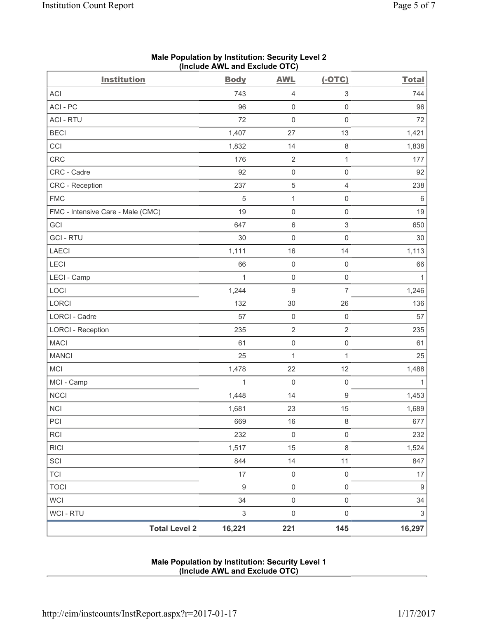| <b>Institution</b>                | <b>Body</b>               | <b>AWL</b>          | $(-OTC)$                  | <b>Total</b>              |
|-----------------------------------|---------------------------|---------------------|---------------------------|---------------------------|
| <b>ACI</b>                        | 743                       | 4                   | $\ensuremath{\mathsf{3}}$ | 744                       |
| ACI - PC                          | 96                        | $\mathsf 0$         | $\mathsf{O}\xspace$       | 96                        |
| <b>ACI - RTU</b>                  | 72                        | $\mathbf 0$         | $\mathsf 0$               | 72                        |
| <b>BECI</b>                       | 1,407                     | 27                  | 13                        | 1,421                     |
| CCI                               | 1,832                     | 14                  | $\,8\,$                   | 1,838                     |
| CRC                               | 176                       | $\sqrt{2}$          | $\mathbf{1}$              | 177                       |
| CRC - Cadre                       | 92                        | $\pmb{0}$           | $\mathsf 0$               | 92                        |
| CRC - Reception                   | 237                       | $\mathbf 5$         | $\overline{4}$            | 238                       |
| <b>FMC</b>                        | 5                         | $\mathbf 1$         | $\mathsf{O}\xspace$       | 6                         |
| FMC - Intensive Care - Male (CMC) | 19                        | $\mathsf{O}\xspace$ | $\mathsf{O}\xspace$       | 19                        |
| GCI                               | 647                       | 6                   | $\ensuremath{\mathsf{3}}$ | 650                       |
| <b>GCI-RTU</b>                    | 30                        | $\mathbf 0$         | $\mathsf{O}\xspace$       | 30                        |
| <b>LAECI</b>                      | 1,111                     | 16                  | 14                        | 1,113                     |
| LECI                              | 66                        | $\mathsf{O}\xspace$ | $\mathsf{O}\xspace$       | 66                        |
| LECI - Camp                       | 1                         | $\mathsf{O}\xspace$ | $\mathsf 0$               | $\mathbf{1}$              |
| LOCI                              | 1,244                     | 9                   | $\overline{7}$            | 1,246                     |
| LORCI                             | 132                       | 30                  | 26                        | 136                       |
| LORCI - Cadre                     | 57                        | $\mathsf{O}\xspace$ | $\mathsf 0$               | 57                        |
| <b>LORCI - Reception</b>          | 235                       | $\sqrt{2}$          | $\overline{2}$            | 235                       |
| <b>MACI</b>                       | 61                        | $\mathsf 0$         | $\mathsf{O}\xspace$       | 61                        |
| <b>MANCI</b>                      | 25                        | $\mathbf{1}$        | $\mathbf{1}$              | 25                        |
| <b>MCI</b>                        | 1,478                     | 22                  | 12                        | 1,488                     |
| MCI - Camp                        | 1                         | $\boldsymbol{0}$    | $\mathsf 0$               | 1                         |
| <b>NCCI</b>                       | 1,448                     | 14                  | $\mathsf g$               | 1,453                     |
| <b>NCI</b>                        | 1,681                     | 23                  | 15                        | 1,689                     |
| $\mathsf{PCI}$                    | 669                       | $16$                | $\,8\,$                   | 677                       |
| RCI                               | 232                       | $\mathsf{O}\xspace$ | $\mathsf 0$               | 232                       |
| <b>RICI</b>                       | 1,517                     | 15                  | $\,8\,$                   | 1,524                     |
| SCI                               | 844                       | 14                  | 11                        | 847                       |
| <b>TCI</b>                        | 17                        | $\mathsf{O}\xspace$ | $\mathsf{O}\xspace$       | 17                        |
| <b>TOCI</b>                       | $\boldsymbol{9}$          | $\mathsf{O}\xspace$ | $\mathsf 0$               | $\boldsymbol{9}$          |
| WCI                               | 34                        | $\mathsf 0$         | $\mathsf 0$               | 34                        |
| WCI - RTU                         | $\ensuremath{\mathsf{3}}$ | $\pmb{0}$           | $\mathsf{O}\xspace$       | $\ensuremath{\mathsf{3}}$ |
| <b>Total Level 2</b>              | 16,221                    | 221                 | 145                       | 16,297                    |

## **Male Population by Institution: Security Level 2 (Include AWL and Exclude OTC)**

### **Male Population by Institution: Security Level 1 (Include AWL and Exclude OTC)**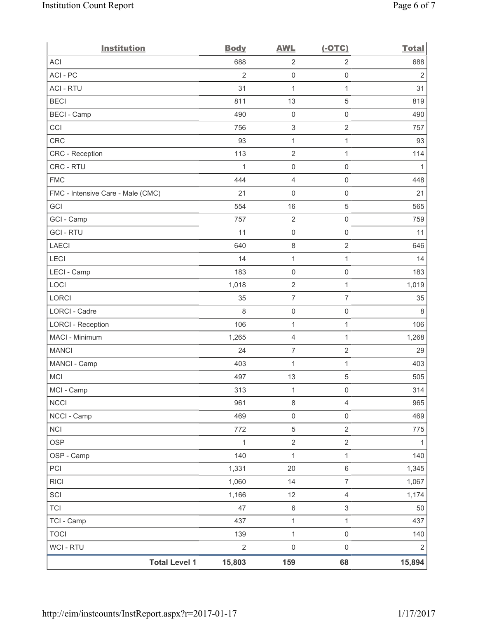| <b>Institution</b>                | <b>Body</b>    | <b>AWL</b>                | $(-OTC)$            | <b>Total</b>   |
|-----------------------------------|----------------|---------------------------|---------------------|----------------|
| <b>ACI</b>                        | 688            | $\sqrt{2}$                | $\sqrt{2}$          | 688            |
| ACI-PC                            | $\overline{2}$ | $\mathsf{O}\xspace$       | $\mathsf{O}\xspace$ | $\overline{2}$ |
| <b>ACI - RTU</b>                  | 31             | $\mathbf{1}$              | 1                   | 31             |
| <b>BECI</b>                       | 811            | 13                        | 5                   | 819            |
| <b>BECI</b> - Camp                | 490            | $\boldsymbol{0}$          | $\mathsf 0$         | 490            |
| CCI                               | 756            | $\ensuremath{\mathsf{3}}$ | $\sqrt{2}$          | 757            |
| <b>CRC</b>                        | 93             | $\mathbf 1$               | $\mathbf{1}$        | 93             |
| CRC - Reception                   | 113            | $\sqrt{2}$                | $\mathbf{1}$        | 114            |
| CRC - RTU                         | 1              | $\mathsf{O}\xspace$       | $\mathsf 0$         | 1              |
| <b>FMC</b>                        | 444            | $\overline{\mathbf{4}}$   | $\mathsf{O}\xspace$ | 448            |
| FMC - Intensive Care - Male (CMC) | 21             | 0                         | $\mathsf 0$         | 21             |
| GCI                               | 554            | 16                        | 5                   | 565            |
| GCI - Camp                        | 757            | $\sqrt{2}$                | $\mathsf{O}\xspace$ | 759            |
| <b>GCI-RTU</b>                    | 11             | $\mathsf 0$               | $\mathsf 0$         | 11             |
| <b>LAECI</b>                      | 640            | 8                         | $\overline{2}$      | 646            |
| LECI                              | 14             | $\mathbf 1$               | $\mathbf{1}$        | 14             |
| LECI - Camp                       | 183            | $\mathsf 0$               | 0                   | 183            |
| LOCI                              | 1,018          | $\sqrt{2}$                | $\mathbf{1}$        | 1,019          |
| <b>LORCI</b>                      | 35             | $\overline{7}$            | $\overline{7}$      | 35             |
| LORCI - Cadre                     | 8              | $\boldsymbol{0}$          | $\mathsf{O}\xspace$ | 8              |
| <b>LORCI - Reception</b>          | 106            | $\mathbf 1$               | $\mathbf{1}$        | 106            |
| MACI - Minimum                    | 1,265          | 4                         | 1                   | 1,268          |
| <b>MANCI</b>                      | 24             | $\boldsymbol{7}$          | $\sqrt{2}$          | 29             |
| MANCI - Camp                      | 403            | 1                         | 1                   | 403            |
| <b>MCI</b>                        | 497            | 13                        | 5                   | 505            |
| MCI - Camp                        | 313            | $\mathbf{1}$              | $\mathsf 0$         | 314            |
| <b>NCCI</b>                       | 961            | 8                         | $\overline{4}$      | 965            |
| NCCI - Camp                       | 469            | $\mathsf{O}\xspace$       | $\mathsf{O}\xspace$ | 469            |
| <b>NCI</b>                        | 772            | $\mathbf 5$               | $\overline{2}$      | 775            |
| <b>OSP</b>                        | 1              | $\sqrt{2}$                | $\overline{2}$      | 1              |
| OSP - Camp                        | 140            | $\mathbf{1}$              | $\mathbf{1}$        | 140            |
| PCI                               | 1,331          | 20                        | $\,6\,$             | 1,345          |
| <b>RICI</b>                       | 1,060          | 14                        | $\overline{7}$      | 1,067          |
| SCI                               | 1,166          | 12                        | $\overline{4}$      | 1,174          |
| <b>TCI</b>                        | 47             | $\,6\,$                   | 3                   | 50             |
| TCI - Camp                        | 437            | $\mathbf 1$               | 1                   | 437            |
| <b>TOCI</b>                       | 139            | $\mathbf 1$               | $\mathsf{O}\xspace$ | 140            |
| WCI - RTU                         | $\sqrt{2}$     | $\mathsf{O}\xspace$       | $\mathsf{O}\xspace$ | $\overline{2}$ |
| <b>Total Level 1</b>              | 15,803         | 159                       | 68                  | 15,894         |